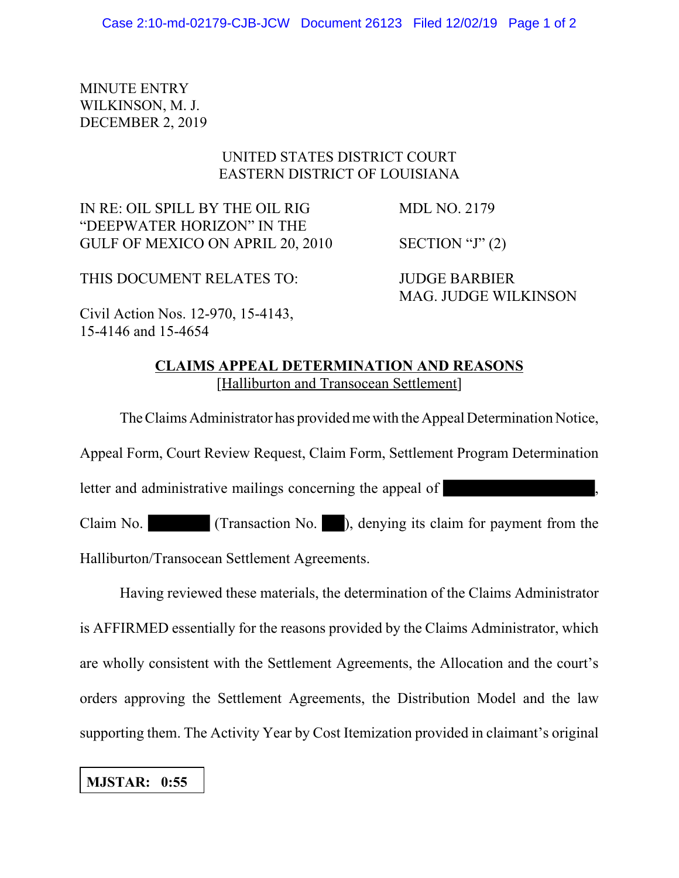## MINUTE ENTRY WILKINSON, M. J. DECEMBER 2, 2019

## UNITED STATES DISTRICT COURT EASTERN DISTRICT OF LOUISIANA

IN RE: OIL SPILL BY THE OIL RIG MDL NO. 2179 "DEEPWATER HORIZON" IN THE GULF OF MEXICO ON APRIL 20, 2010 SECTION "J" (2)

THIS DOCUMENT RELATES TO: JUDGE BARBIER

MAG. JUDGE WILKINSON

Civil Action Nos. 12-970, 15-4143, 15-4146 and 15-4654

> **CLAIMS APPEAL DETERMINATION AND REASONS** [Halliburton and Transocean Settlement]

The Claims Administrator has provided me with the Appeal Determination Notice, Appeal Form, Court Review Request, Claim Form, Settlement Program Determination letter and administrative mailings concerning the appeal of Claim No. (Transaction No. ), denying its claim for payment from the Halliburton/Transocean Settlement Agreements.

Having reviewed these materials, the determination of the Claims Administrator is AFFIRMED essentially for the reasons provided by the Claims Administrator, which are wholly consistent with the Settlement Agreements, the Allocation and the court's orders approving the Settlement Agreements, the Distribution Model and the law supporting them. The Activity Year by Cost Itemization provided in claimant's original

## **MJSTAR: 0:55**